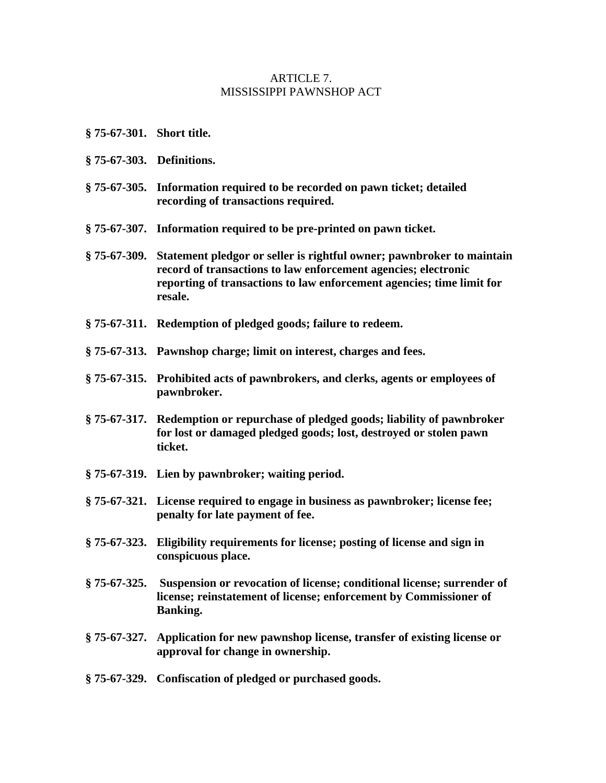#### ARTICLE 7. MISSISSIPPI PAWNSHOP ACT

- **§ 75-67-301. Short title.**
- **§ 75-67-303. Definitions.**
- **§ 75-67-305. Information required to be recorded on pawn ticket; detailed recording of transactions required.**
- **§ 75-67-307. Information required to be pre-printed on pawn ticket.**
- **§ 75-67-309. Statement pledgor or seller is rightful owner; pawnbroker to maintain record of transactions to law enforcement agencies; electronic reporting of transactions to law enforcement agencies; time limit for resale.**
- **§ 75-67-311. Redemption of pledged goods; failure to redeem.**
- **§ 75-67-313. Pawnshop charge; limit on interest, charges and fees.**
- **§ 75-67-315. Prohibited acts of pawnbrokers, and clerks, agents or employees of pawnbroker.**
- **§ 75-67-317. Redemption or repurchase of pledged goods; liability of pawnbroker for lost or damaged pledged goods; lost, destroyed or stolen pawn ticket.**
- **§ 75-67-319. Lien by pawnbroker; waiting period.**
- **§ 75-67-321. License required to engage in business as pawnbroker; license fee; penalty for late payment of fee.**
- **§ 75-67-323. Eligibility requirements for license; posting of license and sign in conspicuous place.**
- **§ 75-67-325. Suspension or revocation of license; conditional license; surrender of license; reinstatement of license; enforcement by Commissioner of Banking.**
- **§ 75-67-327. Application for new pawnshop license, transfer of existing license or approval for change in ownership.**
- **§ 75-67-329. Confiscation of pledged or purchased goods.**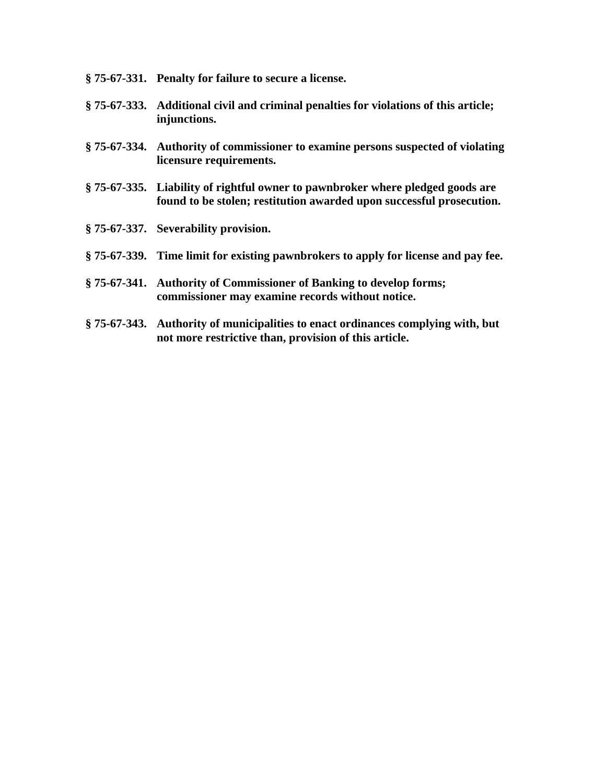- **§ 75-67-331. Penalty for failure to secure a license.**
- **§ 75-67-333. Additional civil and criminal penalties for violations of this article; injunctions.**
- **§ 75-67-334. Authority of commissioner to examine persons suspected of violating licensure requirements.**
- **§ 75-67-335. Liability of rightful owner to pawnbroker where pledged goods are found to be stolen; restitution awarded upon successful prosecution.**
- **§ 75-67-337. Severability provision.**
- **§ 75-67-339. Time limit for existing pawnbrokers to apply for license and pay fee.**
- **§ 75-67-341. Authority of Commissioner of Banking to develop forms; commissioner may examine records without notice.**
- **§ 75-67-343. Authority of municipalities to enact ordinances complying with, but not more restrictive than, provision of this article.**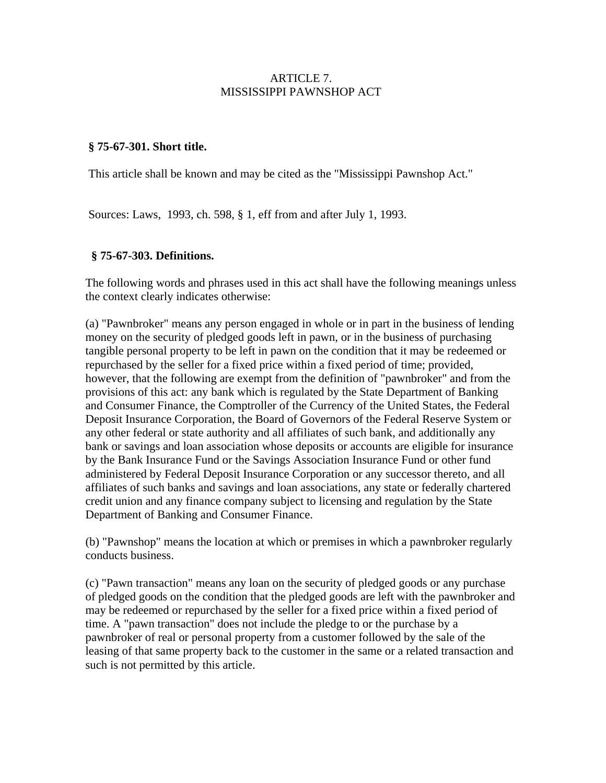### ARTICLE 7. MISSISSIPPI PAWNSHOP ACT

### **§ 75-67-301. Short title.**

This article shall be known and may be cited as the "Mississippi Pawnshop Act."

Sources: Laws, 1993, ch. 598, § 1, eff from and after July 1, 1993.

### **§ 75-67-303. Definitions.**

The following words and phrases used in this act shall have the following meanings unless the context clearly indicates otherwise:

(a) "Pawnbroker" means any person engaged in whole or in part in the business of lending money on the security of pledged goods left in pawn, or in the business of purchasing tangible personal property to be left in pawn on the condition that it may be redeemed or repurchased by the seller for a fixed price within a fixed period of time; provided, however, that the following are exempt from the definition of "pawnbroker" and from the provisions of this act: any bank which is regulated by the State Department of Banking and Consumer Finance, the Comptroller of the Currency of the United States, the Federal Deposit Insurance Corporation, the Board of Governors of the Federal Reserve System or any other federal or state authority and all affiliates of such bank, and additionally any bank or savings and loan association whose deposits or accounts are eligible for insurance by the Bank Insurance Fund or the Savings Association Insurance Fund or other fund administered by Federal Deposit Insurance Corporation or any successor thereto, and all affiliates of such banks and savings and loan associations, any state or federally chartered credit union and any finance company subject to licensing and regulation by the State Department of Banking and Consumer Finance.

(b) "Pawnshop" means the location at which or premises in which a pawnbroker regularly conducts business.

(c) "Pawn transaction" means any loan on the security of pledged goods or any purchase of pledged goods on the condition that the pledged goods are left with the pawnbroker and may be redeemed or repurchased by the seller for a fixed price within a fixed period of time. A "pawn transaction" does not include the pledge to or the purchase by a pawnbroker of real or personal property from a customer followed by the sale of the leasing of that same property back to the customer in the same or a related transaction and such is not permitted by this article.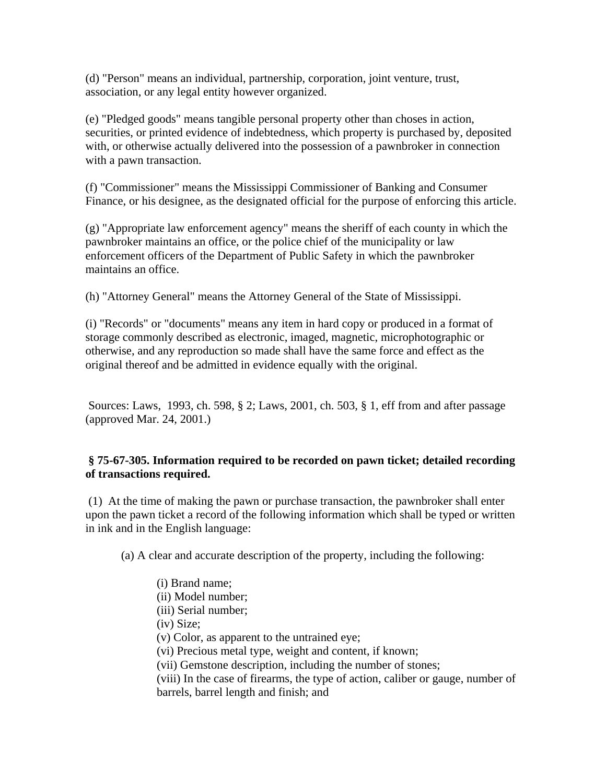(d) "Person" means an individual, partnership, corporation, joint venture, trust, association, or any legal entity however organized.

(e) "Pledged goods" means tangible personal property other than choses in action, securities, or printed evidence of indebtedness, which property is purchased by, deposited with, or otherwise actually delivered into the possession of a pawnbroker in connection with a pawn transaction.

(f) "Commissioner" means the Mississippi Commissioner of Banking and Consumer Finance, or his designee, as the designated official for the purpose of enforcing this article.

(g) "Appropriate law enforcement agency" means the sheriff of each county in which the pawnbroker maintains an office, or the police chief of the municipality or law enforcement officers of the Department of Public Safety in which the pawnbroker maintains an office.

(h) "Attorney General" means the Attorney General of the State of Mississippi.

(i) "Records" or "documents" means any item in hard copy or produced in a format of storage commonly described as electronic, imaged, magnetic, microphotographic or otherwise, and any reproduction so made shall have the same force and effect as the original thereof and be admitted in evidence equally with the original.

 Sources: Laws, 1993, ch. 598, § 2; Laws, 2001, ch. 503, § 1, eff from and after passage (approved Mar. 24, 2001.)

## **§ 75-67-305. Information required to be recorded on pawn ticket; detailed recording of transactions required.**

 (1) At the time of making the pawn or purchase transaction, the pawnbroker shall enter upon the pawn ticket a record of the following information which shall be typed or written in ink and in the English language:

(a) A clear and accurate description of the property, including the following:

 (i) Brand name; (ii) Model number; (iii) Serial number; (iv) Size; (v) Color, as apparent to the untrained eye; (vi) Precious metal type, weight and content, if known; (vii) Gemstone description, including the number of stones; (viii) In the case of firearms, the type of action, caliber or gauge, number of barrels, barrel length and finish; and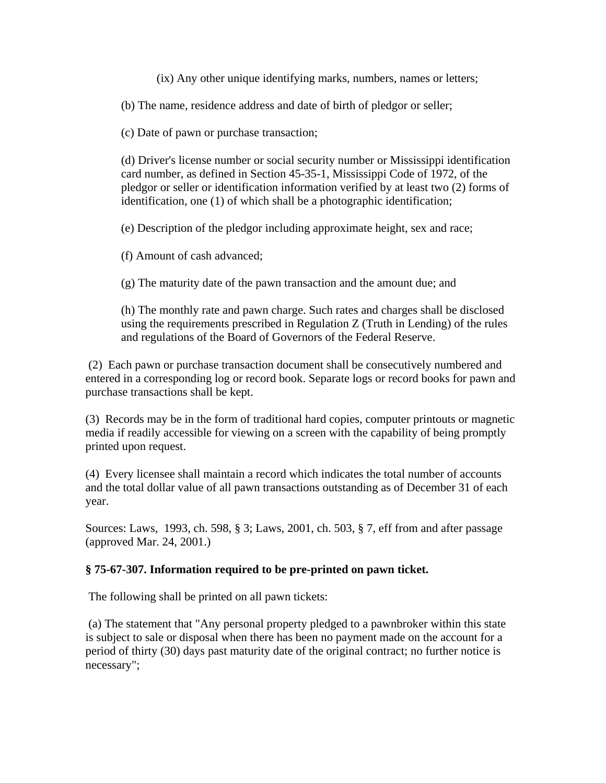(ix) Any other unique identifying marks, numbers, names or letters;

(b) The name, residence address and date of birth of pledgor or seller;

(c) Date of pawn or purchase transaction;

(d) Driver's license number or social security number or Mississippi identification card number, as defined in Section 45-35-1, Mississippi Code of 1972, of the pledgor or seller or identification information verified by at least two (2) forms of identification, one (1) of which shall be a photographic identification;

(e) Description of the pledgor including approximate height, sex and race;

(f) Amount of cash advanced;

(g) The maturity date of the pawn transaction and the amount due; and

(h) The monthly rate and pawn charge. Such rates and charges shall be disclosed using the requirements prescribed in Regulation Z (Truth in Lending) of the rules and regulations of the Board of Governors of the Federal Reserve.

 (2) Each pawn or purchase transaction document shall be consecutively numbered and entered in a corresponding log or record book. Separate logs or record books for pawn and purchase transactions shall be kept.

(3) Records may be in the form of traditional hard copies, computer printouts or magnetic media if readily accessible for viewing on a screen with the capability of being promptly printed upon request.

(4) Every licensee shall maintain a record which indicates the total number of accounts and the total dollar value of all pawn transactions outstanding as of December 31 of each year.

Sources: Laws, 1993, ch. 598, § 3; Laws, 2001, ch. 503, § 7, eff from and after passage (approved Mar. 24, 2001.)

## **§ 75-67-307. Information required to be pre-printed on pawn ticket.**

The following shall be printed on all pawn tickets:

 (a) The statement that "Any personal property pledged to a pawnbroker within this state is subject to sale or disposal when there has been no payment made on the account for a period of thirty (30) days past maturity date of the original contract; no further notice is necessary";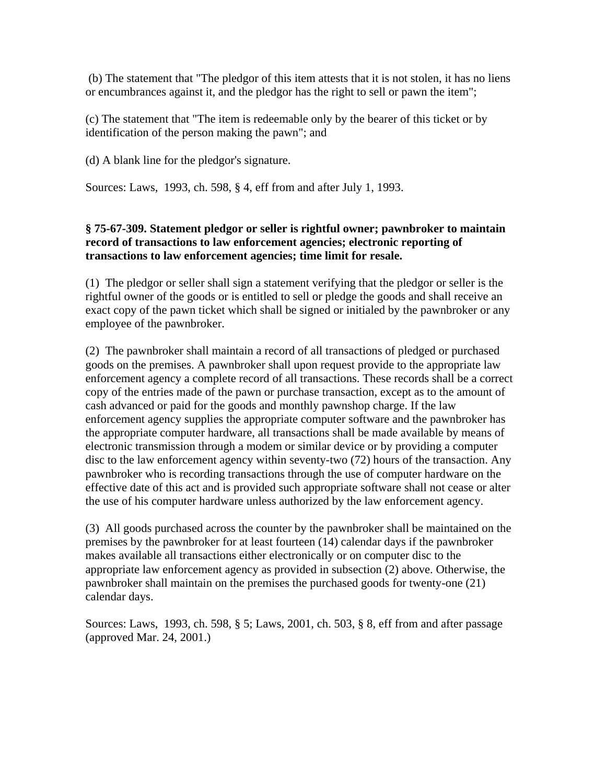(b) The statement that "The pledgor of this item attests that it is not stolen, it has no liens or encumbrances against it, and the pledgor has the right to sell or pawn the item";

(c) The statement that "The item is redeemable only by the bearer of this ticket or by identification of the person making the pawn"; and

(d) A blank line for the pledgor's signature.

Sources: Laws, 1993, ch. 598, § 4, eff from and after July 1, 1993.

## **§ 75-67-309. Statement pledgor or seller is rightful owner; pawnbroker to maintain record of transactions to law enforcement agencies; electronic reporting of transactions to law enforcement agencies; time limit for resale.**

(1) The pledgor or seller shall sign a statement verifying that the pledgor or seller is the rightful owner of the goods or is entitled to sell or pledge the goods and shall receive an exact copy of the pawn ticket which shall be signed or initialed by the pawnbroker or any employee of the pawnbroker.

(2) The pawnbroker shall maintain a record of all transactions of pledged or purchased goods on the premises. A pawnbroker shall upon request provide to the appropriate law enforcement agency a complete record of all transactions. These records shall be a correct copy of the entries made of the pawn or purchase transaction, except as to the amount of cash advanced or paid for the goods and monthly pawnshop charge. If the law enforcement agency supplies the appropriate computer software and the pawnbroker has the appropriate computer hardware, all transactions shall be made available by means of electronic transmission through a modem or similar device or by providing a computer disc to the law enforcement agency within seventy-two (72) hours of the transaction. Any pawnbroker who is recording transactions through the use of computer hardware on the effective date of this act and is provided such appropriate software shall not cease or alter the use of his computer hardware unless authorized by the law enforcement agency.

(3) All goods purchased across the counter by the pawnbroker shall be maintained on the premises by the pawnbroker for at least fourteen (14) calendar days if the pawnbroker makes available all transactions either electronically or on computer disc to the appropriate law enforcement agency as provided in subsection (2) above. Otherwise, the pawnbroker shall maintain on the premises the purchased goods for twenty-one (21) calendar days.

Sources: Laws, 1993, ch. 598, § 5; Laws, 2001, ch. 503, § 8, eff from and after passage (approved Mar. 24, 2001.)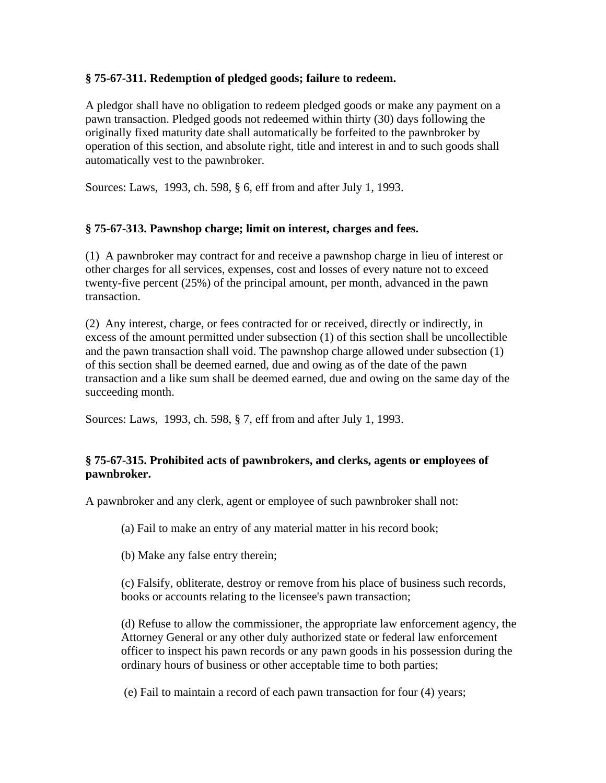### **§ 75-67-311. Redemption of pledged goods; failure to redeem.**

A pledgor shall have no obligation to redeem pledged goods or make any payment on a pawn transaction. Pledged goods not redeemed within thirty (30) days following the originally fixed maturity date shall automatically be forfeited to the pawnbroker by operation of this section, and absolute right, title and interest in and to such goods shall automatically vest to the pawnbroker.

Sources: Laws, 1993, ch. 598, § 6, eff from and after July 1, 1993.

### **§ 75-67-313. Pawnshop charge; limit on interest, charges and fees.**

(1) A pawnbroker may contract for and receive a pawnshop charge in lieu of interest or other charges for all services, expenses, cost and losses of every nature not to exceed twenty-five percent (25%) of the principal amount, per month, advanced in the pawn transaction.

(2) Any interest, charge, or fees contracted for or received, directly or indirectly, in excess of the amount permitted under subsection (1) of this section shall be uncollectible and the pawn transaction shall void. The pawnshop charge allowed under subsection (1) of this section shall be deemed earned, due and owing as of the date of the pawn transaction and a like sum shall be deemed earned, due and owing on the same day of the succeeding month.

Sources: Laws, 1993, ch. 598, § 7, eff from and after July 1, 1993.

## **§ 75-67-315. Prohibited acts of pawnbrokers, and clerks, agents or employees of pawnbroker.**

A pawnbroker and any clerk, agent or employee of such pawnbroker shall not:

(a) Fail to make an entry of any material matter in his record book;

(b) Make any false entry therein;

(c) Falsify, obliterate, destroy or remove from his place of business such records, books or accounts relating to the licensee's pawn transaction;

(d) Refuse to allow the commissioner, the appropriate law enforcement agency, the Attorney General or any other duly authorized state or federal law enforcement officer to inspect his pawn records or any pawn goods in his possession during the ordinary hours of business or other acceptable time to both parties;

(e) Fail to maintain a record of each pawn transaction for four (4) years;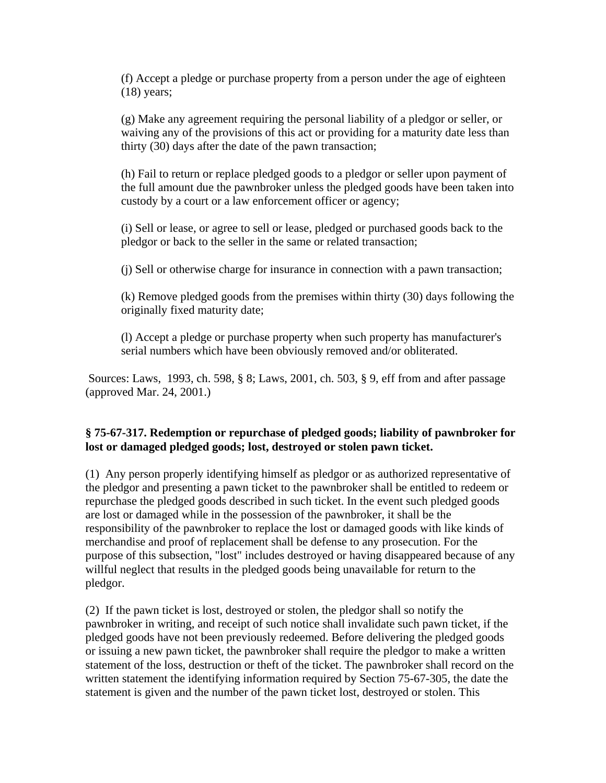(f) Accept a pledge or purchase property from a person under the age of eighteen (18) years;

(g) Make any agreement requiring the personal liability of a pledgor or seller, or waiving any of the provisions of this act or providing for a maturity date less than thirty (30) days after the date of the pawn transaction;

(h) Fail to return or replace pledged goods to a pledgor or seller upon payment of the full amount due the pawnbroker unless the pledged goods have been taken into custody by a court or a law enforcement officer or agency;

(i) Sell or lease, or agree to sell or lease, pledged or purchased goods back to the pledgor or back to the seller in the same or related transaction;

(j) Sell or otherwise charge for insurance in connection with a pawn transaction;

(k) Remove pledged goods from the premises within thirty (30) days following the originally fixed maturity date;

(l) Accept a pledge or purchase property when such property has manufacturer's serial numbers which have been obviously removed and/or obliterated.

 Sources: Laws, 1993, ch. 598, § 8; Laws, 2001, ch. 503, § 9, eff from and after passage (approved Mar. 24, 2001.)

## **§ 75-67-317. Redemption or repurchase of pledged goods; liability of pawnbroker for lost or damaged pledged goods; lost, destroyed or stolen pawn ticket.**

(1) Any person properly identifying himself as pledgor or as authorized representative of the pledgor and presenting a pawn ticket to the pawnbroker shall be entitled to redeem or repurchase the pledged goods described in such ticket. In the event such pledged goods are lost or damaged while in the possession of the pawnbroker, it shall be the responsibility of the pawnbroker to replace the lost or damaged goods with like kinds of merchandise and proof of replacement shall be defense to any prosecution. For the purpose of this subsection, "lost" includes destroyed or having disappeared because of any willful neglect that results in the pledged goods being unavailable for return to the pledgor.

(2) If the pawn ticket is lost, destroyed or stolen, the pledgor shall so notify the pawnbroker in writing, and receipt of such notice shall invalidate such pawn ticket, if the pledged goods have not been previously redeemed. Before delivering the pledged goods or issuing a new pawn ticket, the pawnbroker shall require the pledgor to make a written statement of the loss, destruction or theft of the ticket. The pawnbroker shall record on the written statement the identifying information required by Section 75-67-305, the date the statement is given and the number of the pawn ticket lost, destroyed or stolen. This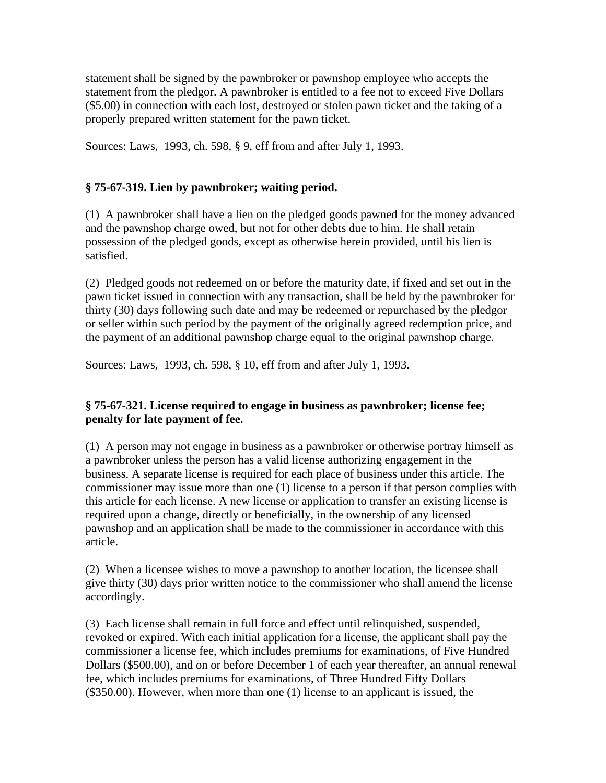statement shall be signed by the pawnbroker or pawnshop employee who accepts the statement from the pledgor. A pawnbroker is entitled to a fee not to exceed Five Dollars (\$5.00) in connection with each lost, destroyed or stolen pawn ticket and the taking of a properly prepared written statement for the pawn ticket.

Sources: Laws, 1993, ch. 598, § 9, eff from and after July 1, 1993.

# **§ 75-67-319. Lien by pawnbroker; waiting period.**

(1) A pawnbroker shall have a lien on the pledged goods pawned for the money advanced and the pawnshop charge owed, but not for other debts due to him. He shall retain possession of the pledged goods, except as otherwise herein provided, until his lien is satisfied.

(2) Pledged goods not redeemed on or before the maturity date, if fixed and set out in the pawn ticket issued in connection with any transaction, shall be held by the pawnbroker for thirty (30) days following such date and may be redeemed or repurchased by the pledgor or seller within such period by the payment of the originally agreed redemption price, and the payment of an additional pawnshop charge equal to the original pawnshop charge.

Sources: Laws, 1993, ch. 598, § 10, eff from and after July 1, 1993.

## **§ 75-67-321. License required to engage in business as pawnbroker; license fee; penalty for late payment of fee.**

(1) A person may not engage in business as a pawnbroker or otherwise portray himself as a pawnbroker unless the person has a valid license authorizing engagement in the business. A separate license is required for each place of business under this article. The commissioner may issue more than one (1) license to a person if that person complies with this article for each license. A new license or application to transfer an existing license is required upon a change, directly or beneficially, in the ownership of any licensed pawnshop and an application shall be made to the commissioner in accordance with this article.

(2) When a licensee wishes to move a pawnshop to another location, the licensee shall give thirty (30) days prior written notice to the commissioner who shall amend the license accordingly.

(3) Each license shall remain in full force and effect until relinquished, suspended, revoked or expired. With each initial application for a license, the applicant shall pay the commissioner a license fee, which includes premiums for examinations, of Five Hundred Dollars (\$500.00), and on or before December 1 of each year thereafter, an annual renewal fee, which includes premiums for examinations, of Three Hundred Fifty Dollars (\$350.00). However, when more than one (1) license to an applicant is issued, the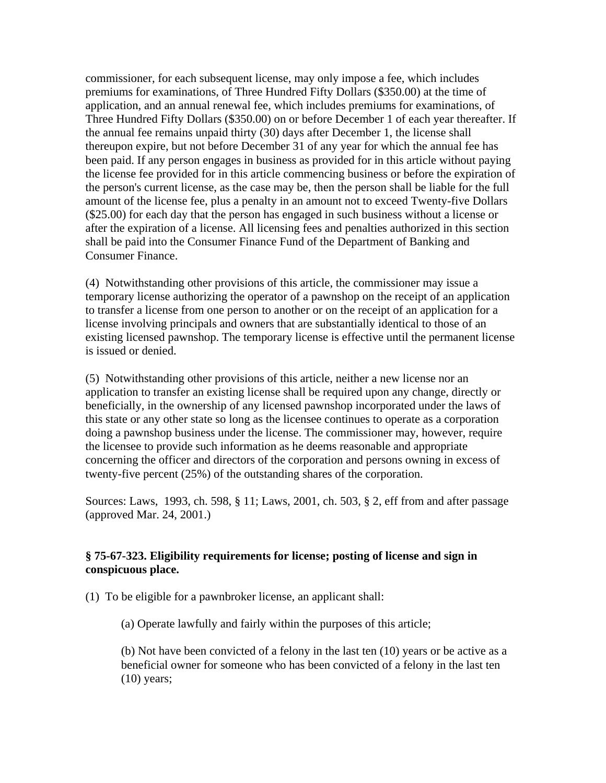commissioner, for each subsequent license, may only impose a fee, which includes premiums for examinations, of Three Hundred Fifty Dollars (\$350.00) at the time of application, and an annual renewal fee, which includes premiums for examinations, of Three Hundred Fifty Dollars (\$350.00) on or before December 1 of each year thereafter. If the annual fee remains unpaid thirty (30) days after December 1, the license shall thereupon expire, but not before December 31 of any year for which the annual fee has been paid. If any person engages in business as provided for in this article without paying the license fee provided for in this article commencing business or before the expiration of the person's current license, as the case may be, then the person shall be liable for the full amount of the license fee, plus a penalty in an amount not to exceed Twenty-five Dollars (\$25.00) for each day that the person has engaged in such business without a license or after the expiration of a license. All licensing fees and penalties authorized in this section shall be paid into the Consumer Finance Fund of the Department of Banking and Consumer Finance.

(4) Notwithstanding other provisions of this article, the commissioner may issue a temporary license authorizing the operator of a pawnshop on the receipt of an application to transfer a license from one person to another or on the receipt of an application for a license involving principals and owners that are substantially identical to those of an existing licensed pawnshop. The temporary license is effective until the permanent license is issued or denied.

(5) Notwithstanding other provisions of this article, neither a new license nor an application to transfer an existing license shall be required upon any change, directly or beneficially, in the ownership of any licensed pawnshop incorporated under the laws of this state or any other state so long as the licensee continues to operate as a corporation doing a pawnshop business under the license. The commissioner may, however, require the licensee to provide such information as he deems reasonable and appropriate concerning the officer and directors of the corporation and persons owning in excess of twenty-five percent (25%) of the outstanding shares of the corporation.

Sources: Laws, 1993, ch. 598, § 11; Laws, 2001, ch. 503, § 2, eff from and after passage (approved Mar. 24, 2001.)

#### **§ 75-67-323. Eligibility requirements for license; posting of license and sign in conspicuous place.**

(1) To be eligible for a pawnbroker license, an applicant shall:

(a) Operate lawfully and fairly within the purposes of this article;

(b) Not have been convicted of a felony in the last ten (10) years or be active as a beneficial owner for someone who has been convicted of a felony in the last ten (10) years;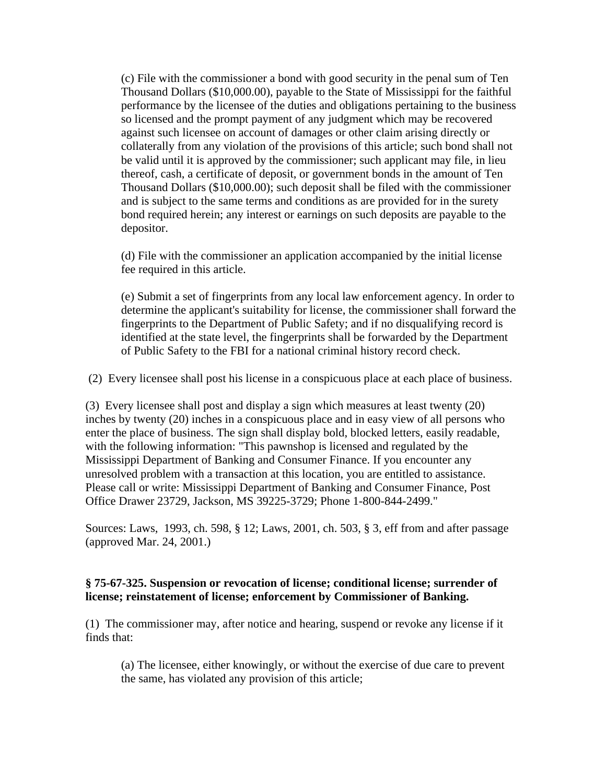(c) File with the commissioner a bond with good security in the penal sum of Ten Thousand Dollars (\$10,000.00), payable to the State of Mississippi for the faithful performance by the licensee of the duties and obligations pertaining to the business so licensed and the prompt payment of any judgment which may be recovered against such licensee on account of damages or other claim arising directly or collaterally from any violation of the provisions of this article; such bond shall not be valid until it is approved by the commissioner; such applicant may file, in lieu thereof, cash, a certificate of deposit, or government bonds in the amount of Ten Thousand Dollars (\$10,000.00); such deposit shall be filed with the commissioner and is subject to the same terms and conditions as are provided for in the surety bond required herein; any interest or earnings on such deposits are payable to the depositor.

(d) File with the commissioner an application accompanied by the initial license fee required in this article.

(e) Submit a set of fingerprints from any local law enforcement agency. In order to determine the applicant's suitability for license, the commissioner shall forward the fingerprints to the Department of Public Safety; and if no disqualifying record is identified at the state level, the fingerprints shall be forwarded by the Department of Public Safety to the FBI for a national criminal history record check.

(2) Every licensee shall post his license in a conspicuous place at each place of business.

(3) Every licensee shall post and display a sign which measures at least twenty (20) inches by twenty (20) inches in a conspicuous place and in easy view of all persons who enter the place of business. The sign shall display bold, blocked letters, easily readable, with the following information: "This pawnshop is licensed and regulated by the Mississippi Department of Banking and Consumer Finance. If you encounter any unresolved problem with a transaction at this location, you are entitled to assistance. Please call or write: Mississippi Department of Banking and Consumer Finance, Post Office Drawer 23729, Jackson, MS 39225-3729; Phone 1-800-844-2499."

Sources: Laws, 1993, ch. 598, § 12; Laws, 2001, ch. 503, § 3, eff from and after passage (approved Mar. 24, 2001.)

### **§ 75-67-325. Suspension or revocation of license; conditional license; surrender of license; reinstatement of license; enforcement by Commissioner of Banking.**

(1) The commissioner may, after notice and hearing, suspend or revoke any license if it finds that:

(a) The licensee, either knowingly, or without the exercise of due care to prevent the same, has violated any provision of this article;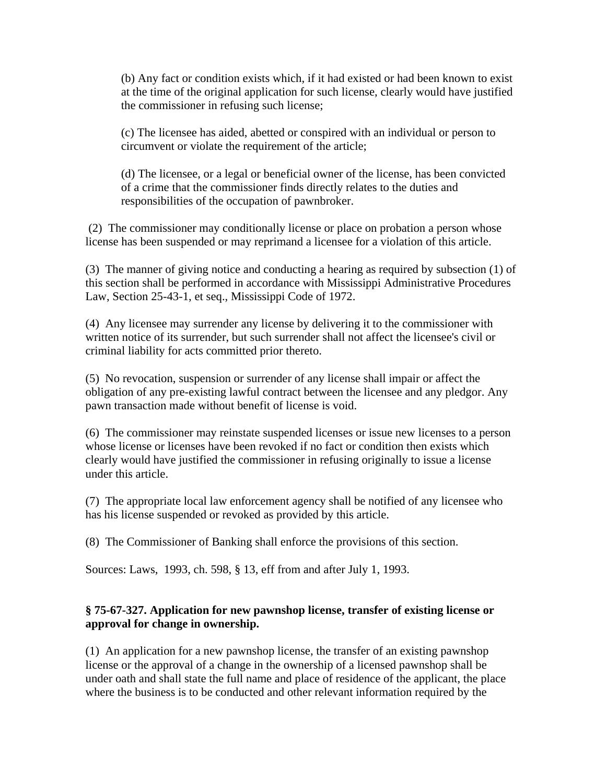(b) Any fact or condition exists which, if it had existed or had been known to exist at the time of the original application for such license, clearly would have justified the commissioner in refusing such license;

(c) The licensee has aided, abetted or conspired with an individual or person to circumvent or violate the requirement of the article;

(d) The licensee, or a legal or beneficial owner of the license, has been convicted of a crime that the commissioner finds directly relates to the duties and responsibilities of the occupation of pawnbroker.

 (2) The commissioner may conditionally license or place on probation a person whose license has been suspended or may reprimand a licensee for a violation of this article.

(3) The manner of giving notice and conducting a hearing as required by subsection (1) of this section shall be performed in accordance with Mississippi Administrative Procedures Law, Section 25-43-1, et seq., Mississippi Code of 1972.

(4) Any licensee may surrender any license by delivering it to the commissioner with written notice of its surrender, but such surrender shall not affect the licensee's civil or criminal liability for acts committed prior thereto.

(5) No revocation, suspension or surrender of any license shall impair or affect the obligation of any pre-existing lawful contract between the licensee and any pledgor. Any pawn transaction made without benefit of license is void.

(6) The commissioner may reinstate suspended licenses or issue new licenses to a person whose license or licenses have been revoked if no fact or condition then exists which clearly would have justified the commissioner in refusing originally to issue a license under this article.

(7) The appropriate local law enforcement agency shall be notified of any licensee who has his license suspended or revoked as provided by this article.

(8) The Commissioner of Banking shall enforce the provisions of this section.

Sources: Laws, 1993, ch. 598, § 13, eff from and after July 1, 1993.

# **§ 75-67-327. Application for new pawnshop license, transfer of existing license or approval for change in ownership.**

(1) An application for a new pawnshop license, the transfer of an existing pawnshop license or the approval of a change in the ownership of a licensed pawnshop shall be under oath and shall state the full name and place of residence of the applicant, the place where the business is to be conducted and other relevant information required by the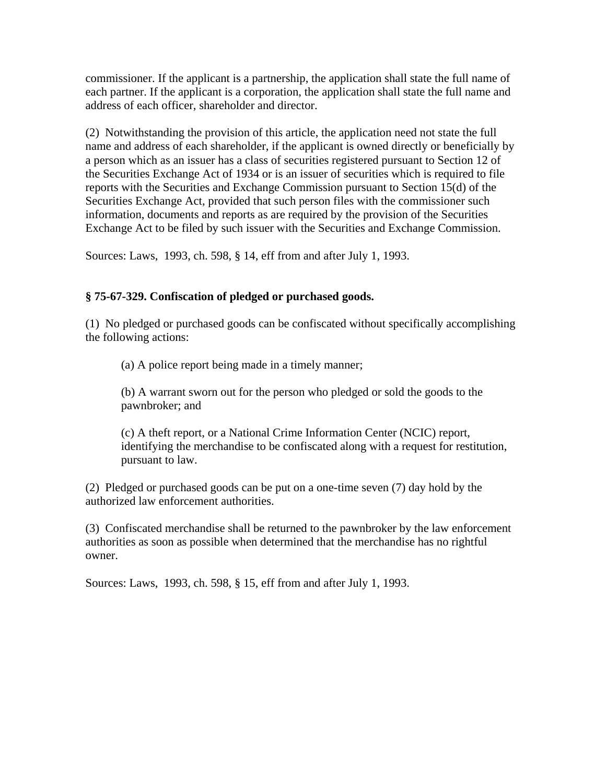commissioner. If the applicant is a partnership, the application shall state the full name of each partner. If the applicant is a corporation, the application shall state the full name and address of each officer, shareholder and director.

(2) Notwithstanding the provision of this article, the application need not state the full name and address of each shareholder, if the applicant is owned directly or beneficially by a person which as an issuer has a class of securities registered pursuant to Section 12 of the Securities Exchange Act of 1934 or is an issuer of securities which is required to file reports with the Securities and Exchange Commission pursuant to Section 15(d) of the Securities Exchange Act, provided that such person files with the commissioner such information, documents and reports as are required by the provision of the Securities Exchange Act to be filed by such issuer with the Securities and Exchange Commission.

Sources: Laws, 1993, ch. 598, § 14, eff from and after July 1, 1993.

## **§ 75-67-329. Confiscation of pledged or purchased goods.**

(1) No pledged or purchased goods can be confiscated without specifically accomplishing the following actions:

(a) A police report being made in a timely manner;

(b) A warrant sworn out for the person who pledged or sold the goods to the pawnbroker; and

(c) A theft report, or a National Crime Information Center (NCIC) report, identifying the merchandise to be confiscated along with a request for restitution, pursuant to law.

(2) Pledged or purchased goods can be put on a one-time seven (7) day hold by the authorized law enforcement authorities.

(3) Confiscated merchandise shall be returned to the pawnbroker by the law enforcement authorities as soon as possible when determined that the merchandise has no rightful owner.

Sources: Laws, 1993, ch. 598, § 15, eff from and after July 1, 1993.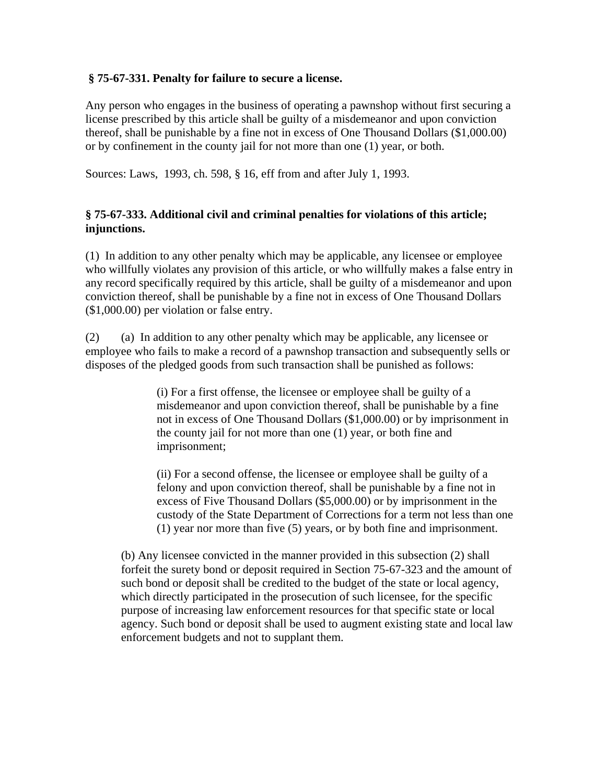### **§ 75-67-331. Penalty for failure to secure a license.**

Any person who engages in the business of operating a pawnshop without first securing a license prescribed by this article shall be guilty of a misdemeanor and upon conviction thereof, shall be punishable by a fine not in excess of One Thousand Dollars (\$1,000.00) or by confinement in the county jail for not more than one (1) year, or both.

Sources: Laws, 1993, ch. 598, § 16, eff from and after July 1, 1993.

### **§ 75-67-333. Additional civil and criminal penalties for violations of this article; injunctions.**

(1) In addition to any other penalty which may be applicable, any licensee or employee who willfully violates any provision of this article, or who willfully makes a false entry in any record specifically required by this article, shall be guilty of a misdemeanor and upon conviction thereof, shall be punishable by a fine not in excess of One Thousand Dollars (\$1,000.00) per violation or false entry.

(2) (a) In addition to any other penalty which may be applicable, any licensee or employee who fails to make a record of a pawnshop transaction and subsequently sells or disposes of the pledged goods from such transaction shall be punished as follows:

> (i) For a first offense, the licensee or employee shall be guilty of a misdemeanor and upon conviction thereof, shall be punishable by a fine not in excess of One Thousand Dollars (\$1,000.00) or by imprisonment in the county jail for not more than one (1) year, or both fine and imprisonment;

(ii) For a second offense, the licensee or employee shall be guilty of a felony and upon conviction thereof, shall be punishable by a fine not in excess of Five Thousand Dollars (\$5,000.00) or by imprisonment in the custody of the State Department of Corrections for a term not less than one (1) year nor more than five (5) years, or by both fine and imprisonment.

(b) Any licensee convicted in the manner provided in this subsection (2) shall forfeit the surety bond or deposit required in Section 75-67-323 and the amount of such bond or deposit shall be credited to the budget of the state or local agency, which directly participated in the prosecution of such licensee, for the specific purpose of increasing law enforcement resources for that specific state or local agency. Such bond or deposit shall be used to augment existing state and local law enforcement budgets and not to supplant them.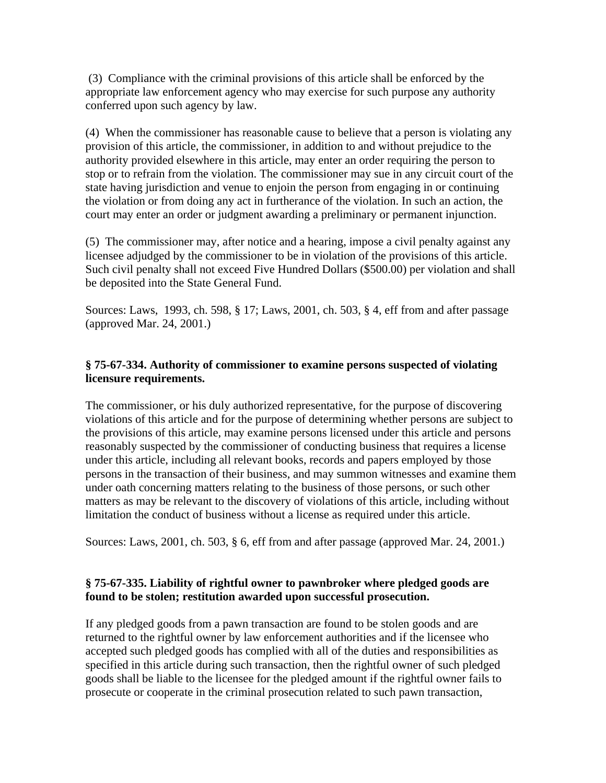(3) Compliance with the criminal provisions of this article shall be enforced by the appropriate law enforcement agency who may exercise for such purpose any authority conferred upon such agency by law.

(4) When the commissioner has reasonable cause to believe that a person is violating any provision of this article, the commissioner, in addition to and without prejudice to the authority provided elsewhere in this article, may enter an order requiring the person to stop or to refrain from the violation. The commissioner may sue in any circuit court of the state having jurisdiction and venue to enjoin the person from engaging in or continuing the violation or from doing any act in furtherance of the violation. In such an action, the court may enter an order or judgment awarding a preliminary or permanent injunction.

(5) The commissioner may, after notice and a hearing, impose a civil penalty against any licensee adjudged by the commissioner to be in violation of the provisions of this article. Such civil penalty shall not exceed Five Hundred Dollars (\$500.00) per violation and shall be deposited into the State General Fund.

Sources: Laws, 1993, ch. 598, § 17; Laws, 2001, ch. 503, § 4, eff from and after passage (approved Mar. 24, 2001.)

# **§ 75-67-334. Authority of commissioner to examine persons suspected of violating licensure requirements.**

The commissioner, or his duly authorized representative, for the purpose of discovering violations of this article and for the purpose of determining whether persons are subject to the provisions of this article, may examine persons licensed under this article and persons reasonably suspected by the commissioner of conducting business that requires a license under this article, including all relevant books, records and papers employed by those persons in the transaction of their business, and may summon witnesses and examine them under oath concerning matters relating to the business of those persons, or such other matters as may be relevant to the discovery of violations of this article, including without limitation the conduct of business without a license as required under this article.

Sources: Laws, 2001, ch. 503, § 6, eff from and after passage (approved Mar. 24, 2001.)

## **§ 75-67-335. Liability of rightful owner to pawnbroker where pledged goods are found to be stolen; restitution awarded upon successful prosecution.**

If any pledged goods from a pawn transaction are found to be stolen goods and are returned to the rightful owner by law enforcement authorities and if the licensee who accepted such pledged goods has complied with all of the duties and responsibilities as specified in this article during such transaction, then the rightful owner of such pledged goods shall be liable to the licensee for the pledged amount if the rightful owner fails to prosecute or cooperate in the criminal prosecution related to such pawn transaction,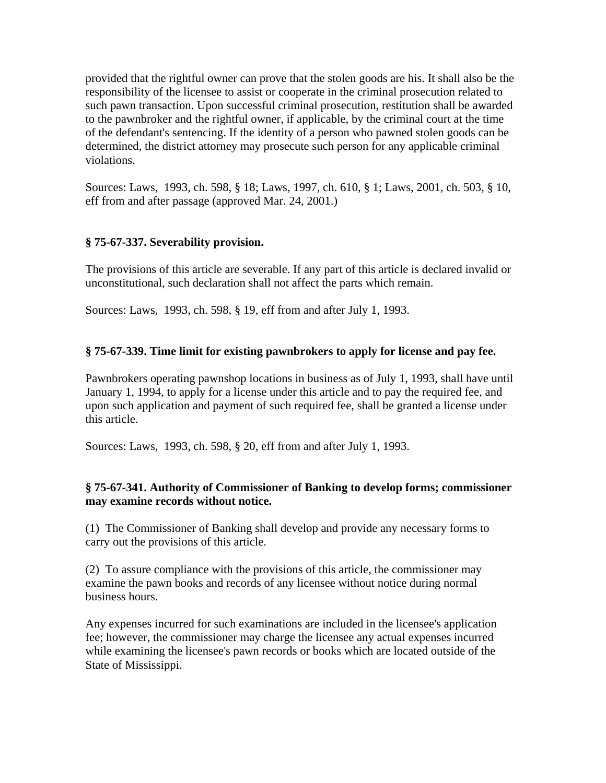provided that the rightful owner can prove that the stolen goods are his. It shall also be the responsibility of the licensee to assist or cooperate in the criminal prosecution related to such pawn transaction. Upon successful criminal prosecution, restitution shall be awarded to the pawnbroker and the rightful owner, if applicable, by the criminal court at the time of the defendant's sentencing. If the identity of a person who pawned stolen goods can be determined, the district attorney may prosecute such person for any applicable criminal violations.

Sources: Laws, 1993, ch. 598, § 18; Laws, 1997, ch. 610, § 1; Laws, 2001, ch. 503, § 10, eff from and after passage (approved Mar. 24, 2001.)

## **§ 75-67-337. Severability provision.**

The provisions of this article are severable. If any part of this article is declared invalid or unconstitutional, such declaration shall not affect the parts which remain.

Sources: Laws, 1993, ch. 598, § 19, eff from and after July 1, 1993.

#### **§ 75-67-339. Time limit for existing pawnbrokers to apply for license and pay fee.**

Pawnbrokers operating pawnshop locations in business as of July 1, 1993, shall have until January 1, 1994, to apply for a license under this article and to pay the required fee, and upon such application and payment of such required fee, shall be granted a license under this article.

Sources: Laws, 1993, ch. 598, § 20, eff from and after July 1, 1993.

#### **§ 75-67-341. Authority of Commissioner of Banking to develop forms; commissioner may examine records without notice.**

(1) The Commissioner of Banking shall develop and provide any necessary forms to carry out the provisions of this article.

(2) To assure compliance with the provisions of this article, the commissioner may examine the pawn books and records of any licensee without notice during normal business hours.

Any expenses incurred for such examinations are included in the licensee's application fee; however, the commissioner may charge the licensee any actual expenses incurred while examining the licensee's pawn records or books which are located outside of the State of Mississippi.